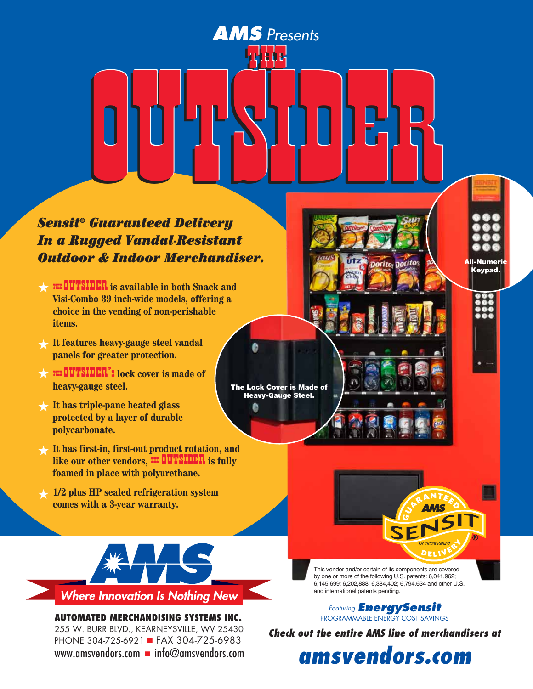# *Sensit® Guaranteed Delivery In a Rugged Vandal-Resistant Outdoor & Indoor Merchandiser.* AMS Presents<br>
Contained Delivery<br>
For a Indoor Merchandiser. AMS Presents<br> **OUTS DE LAND DE LAND**<br>
Guaranteed Delivery<br>
Se Indoor Merchandiser. AMS Presents<br>
Contained Delivery<br>
Contained Delivery<br>
The Vandal Resistant<br>
The Delivery<br>
The Vandal Resistant<br>
The Delivery<br>
The Delivery<br>
The Delivery<br>
The Delivery<br>
The Delivery<br>
The Delivery<br>
The Delivery<br>
The Delivery

**S** Pre

The Lock Cover is Made of Heavy-Gauge Steel.

ø

*AMS Presents*

- **Outdoor & Indoor Merchandi<br>
W<sup>THE</sup> THE SOUTSIDER** is available in both Snack and<br>
Visi.Combo 39 inch.wide models, offering a **Visi-Combo 39 inch-wide models, offering a choice in the vending of non-perishable items.**
- **It features heavy-gauge steel vandal**  H **panels for greater protection.** It features heavy-gauge steel vandal<br>panels for greater protection.<br>THE OUTSIDER<sup>7</sup>s lock cover is made of<br>heavy-gauge steel
- **heavy-gauge steel.**  $\bigstar$
- $\star$  It has triple-pane heated glass **protected by a layer of durable polycarbonate.**
- **It has first-in, first-out product rotation, and**  polycarbonate.<br>It has first-in, first-out product rotation, and<br>like our other vendors, <sup>THE</sup> OUTSIDER is fully<br>foamed in place with polyurethane **foamed in place with polyurethane.**  $\bigstar$
- **1/2 plus HP sealed refrigeration system**  H **comes with a 3-year warranty.**



**AUTOMATED MERCHANDISING SYSTEMs INC.** 255 W. Burr Blvd., Kearneysville, WV 25430 PHONE 304-725-6921 FAX 304-725-6983 www.amsvendors.com  $\blacksquare$  info@amsvendors.com This vendor and/or certain of its components are covered by one or more of the following U.S. patents: 6,041,962; 6,145,699; 6,202,888; 6,384,402; 6,794.634 and other U.S. and international patents pending.

All-Numeric Keypad.

*Featuring EnergySensit* Programmable Energy Cost Savings

*Check out the entire AMS line of merchandisers at* 

*amsvendors.com*